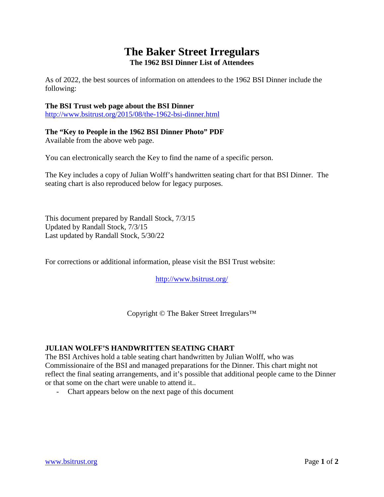## **The Baker Street Irregulars The 1962 BSI Dinner List of Attendees**

As of 2022, the best sources of information on attendees to the 1962 BSI Dinner include the following:

## **The BSI Trust web page about the BSI Dinner**

<http://www.bsitrust.org/2015/08/the-1962-bsi-dinner.html>

## **The "Key to People in the 1962 BSI Dinner Photo" PDF**

Available from the above web page.

You can electronically search the Key to find the name of a specific person.

The Key includes a copy of Julian Wolff's handwritten seating chart for that BSI Dinner. The seating chart is also reproduced below for legacy purposes.

This document prepared by Randall Stock, 7/3/15 Updated by Randall Stock, 7/3/15 Last updated by Randall Stock, 5/30/22

For corrections or additional information, please visit the BSI Trust website:

<http://www.bsitrust.org/>

Copyright © The Baker Street Irregulars™

## **JULIAN WOLFF'S HANDWRITTEN SEATING CHART**

The BSI Archives hold a table seating chart handwritten by Julian Wolff, who was Commissionaire of the BSI and managed preparations for the Dinner. This chart might not reflect the final seating arrangements, and it's possible that additional people came to the Dinner or that some on the chart were unable to attend it..

- Chart appears below on the next page of this document